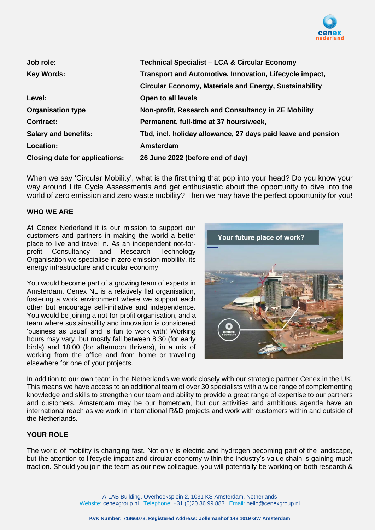

| Job role:                             | <b>Technical Specialist - LCA &amp; Circular Economy</b>      |
|---------------------------------------|---------------------------------------------------------------|
| <b>Key Words:</b>                     | Transport and Automotive, Innovation, Lifecycle impact,       |
|                                       | <b>Circular Economy, Materials and Energy, Sustainability</b> |
| Level:                                | Open to all levels                                            |
| <b>Organisation type</b>              | Non-profit, Research and Consultancy in ZE Mobility           |
| <b>Contract:</b>                      | Permanent, full-time at 37 hours/week,                        |
| <b>Salary and benefits:</b>           | Tbd, incl. holiday allowance, 27 days paid leave and pension  |
| Location:                             | Amsterdam                                                     |
| <b>Closing date for applications:</b> | 26 June 2022 (before end of day)                              |

When we say 'Circular Mobility', what is the first thing that pop into your head? Do you know your way around Life Cycle Assessments and get enthusiastic about the opportunity to dive into the world of zero emission and zero waste mobility? Then we may have the perfect opportunity for you!

#### **WHO WE ARE**

At Cenex Nederland it is our mission to support our customers and partners in making the world a better place to live and travel in. As an independent not-forprofit Consultancy and Research Technology Organisation we specialise in zero emission mobility, its energy infrastructure and circular economy.

You would become part of a growing team of experts in Amsterdam. Cenex NL is a relatively flat organisation, fostering a work environment where we support each other but encourage self-initiative and independence. You would be joining a not-for-profit organisation, and a team where sustainability and innovation is considered 'business as usual' and is fun to work with! Working hours may vary, but mostly fall between 8.30 (for early birds) and 18:00 (for afternoon thrivers), in a mix of working from the office and from home or traveling elsewhere for one of your projects.



In addition to our own team in the Netherlands we work closely with our strategic partner Cenex in the UK. This means we have access to an additional team of over 30 specialists with a wide range of complementing knowledge and skills to strengthen our team and ability to provide a great range of expertise to our partners and customers. Amsterdam may be our hometown, but our activities and ambitious agenda have an international reach as we work in international R&D projects and work with customers within and outside of the Netherlands.

## **YOUR ROLE**

The world of mobility is changing fast. Not only is electric and hydrogen becoming part of the landscape, but the attention to lifecycle impact and circular economy within the industry's value chain is gaining much traction. Should you join the team as our new colleague, you will potentially be working on both research &